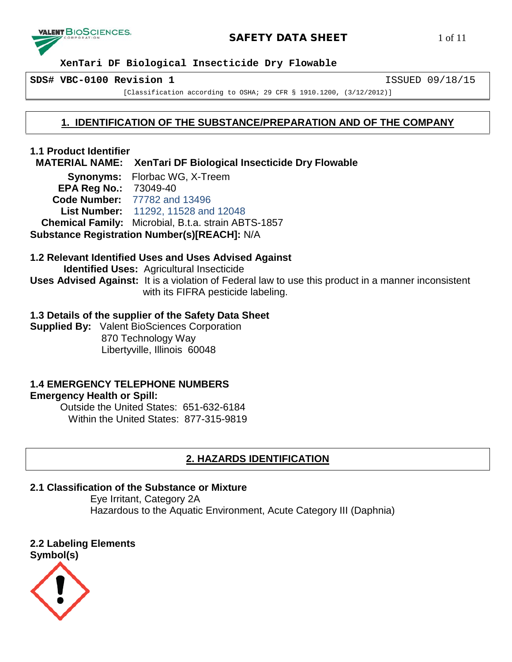

# **SAFETY DATA SHEET** 1 of 11

 **XenTari DF Biological Insecticide Dry Flowable**

**SDS# VBC-0100 Revision 1** ISSUED 09/18/15

[Classification according to OSHA; 29 CFR § 1910.1200, (3/12/2012)]

# **1. IDENTIFICATION OF THE SUBSTANCE/PREPARATION AND OF THE COMPANY**

**1.1 Product Identifier**

 **MATERIAL NAME: XenTari DF Biological Insecticide Dry Flowable**

**Synonyms:** Florbac WG, X-Treem **EPA Reg No.:** 73049-40  **Code Number:** 77782 and 13496 **List Number:** 11292, 11528 and 12048  **Chemical Family:** Microbial, B.t.a. strain ABTS-1857

**Substance Registration Number(s)[REACH]:** N/A

# **1.2 Relevant Identified Uses and Uses Advised Against**

 **Identified Uses:** Agricultural Insecticide **Uses Advised Against:** It is a violation of Federal law to use this product in a manner inconsistent with its FIFRA pesticide labeling.

# **1.3 Details of the supplier of the Safety Data Sheet**

**Supplied By:** Valent BioSciences Corporation 870 Technology Way Libertyville, Illinois 60048

# **1.4 EMERGENCY TELEPHONE NUMBERS**

# **Emergency Health or Spill:**

Outside the United States: 651-632-6184 Within the United States: 877-315-9819

# **2. HAZARDS IDENTIFICATION**

# **2.1 Classification of the Substance or Mixture**

Eye Irritant, Category 2A Hazardous to the Aquatic Environment, Acute Category III (Daphnia)

**2.2 Labeling Elements [Symbol\(s\)](https://www.google.com/url?sa=i&rct=j&q=&esrc=s&frm=1&source=images&cd=&cad=rja&uact=8&ved=0CAcQjRxqFQoTCMvr0bWHp8cCFQTUgAodhxoEWA&url=https://www.osha.gov/dsg/hazcom/pictograms/&ei=fhPNVcu0HISogwSHtZDABQ&bvm=bv.99804247,d.eXY&psig=AFQjCNHQQE-XVNC9oTdhbMbBzF1dzcAOjw&ust=1439589622783645)**

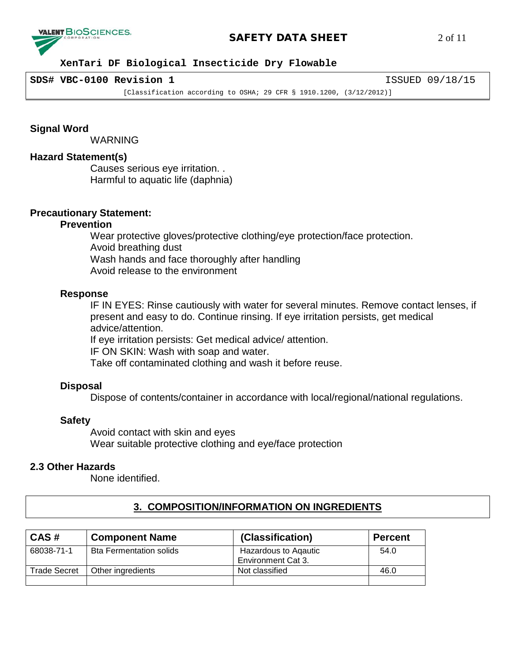

### **SAFETY DATA SHEET** 2 of 11

#### **XenTari DF Biological Insecticide Dry Flowable**

#### **SDS# VBC-0100 Revision 1** ISSUED 09/18/15

[Classification according to OSHA; 29 CFR § 1910.1200, (3/12/2012)]

**Signal Word**

**WARNING** 

#### **Hazard Statement(s)**

Causes serious eye irritation. . Harmful to aquatic life (daphnia)

#### **Precautionary Statement:**

#### **Prevention**

Wear protective gloves/protective clothing/eye protection/face protection. Avoid breathing dust Wash hands and face thoroughly after handling Avoid release to the environment

#### **Response**

IF IN EYES: Rinse cautiously with water for several minutes. Remove contact lenses, if present and easy to do. Continue rinsing. If eye irritation persists, get medical advice/attention.

If eye irritation persists: Get medical advice/ attention.

IF ON SKIN: Wash with soap and water.

Take off contaminated clothing and wash it before reuse.

#### **Disposal**

Dispose of contents/container in accordance with local/regional/national regulations.

#### **Safety**

Avoid contact with skin and eyes Wear suitable protective clothing and eye/face protection

#### **2.3 Other Hazards**

None identified.

|--|

| CAS#                | <b>Component Name</b>          | (Classification)                           | <b>Percent</b> |
|---------------------|--------------------------------|--------------------------------------------|----------------|
| 68038-71-1          | <b>Bta Fermentation solids</b> | Hazardous to Agautic<br>Environment Cat 3. | 54.0           |
| <b>Trade Secret</b> | Other ingredients              | Not classified                             | 46.0           |
|                     |                                |                                            |                |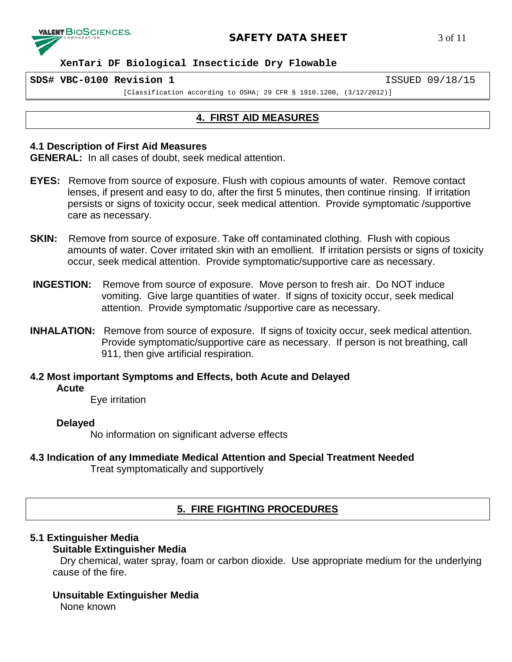

#### **SAFETY DATA SHEET** 3 of 11

 **XenTari DF Biological Insecticide Dry Flowable**

**SDS# VBC-0100 Revision 1** ISSUED 09/18/15

[Classification according to OSHA; 29 CFR § 1910.1200, (3/12/2012)]

# **4. FIRST AID MEASURES**

#### **4.1 Description of First Aid Measures**

**GENERAL:** In all cases of doubt, seek medical attention.

- **EYES:** Remove from source of exposure. Flush with copious amounts of water. Remove contact lenses, if present and easy to do, after the first 5 minutes, then continue rinsing. If irritation persists or signs of toxicity occur, seek medical attention. Provide symptomatic /supportive care as necessary.
- **SKIN:** Remove from source of exposure. Take off contaminated clothing. Flush with copious amounts of water. Cover irritated skin with an emollient. If irritation persists or signs of toxicity occur, seek medical attention. Provide symptomatic/supportive care as necessary.
- **INGESTION:** Remove from source of exposure. Move person to fresh air. Do NOT induce vomiting. Give large quantities of water. If signs of toxicity occur, seek medical attention. Provide symptomatic /supportive care as necessary.
- **INHALATION:** Remove from source of exposure. If signs of toxicity occur, seek medical attention. Provide symptomatic/supportive care as necessary. If person is not breathing, call 911, then give artificial respiration.

**4.2 Most important Symptoms and Effects, both Acute and Delayed Acute**

Eye irritation

#### **Delayed**

No information on significant adverse effects

**4.3 Indication of any Immediate Medical Attention and Special Treatment Needed**

Treat symptomatically and supportively

# **5. FIRE FIGHTING PROCEDURES**

#### **5.1 Extinguisher Media**

#### **Suitable Extinguisher Media**

Dry chemical, water spray, foam or carbon dioxide. Use appropriate medium for the underlying cause of the fire.

#### **Unsuitable Extinguisher Media**

None known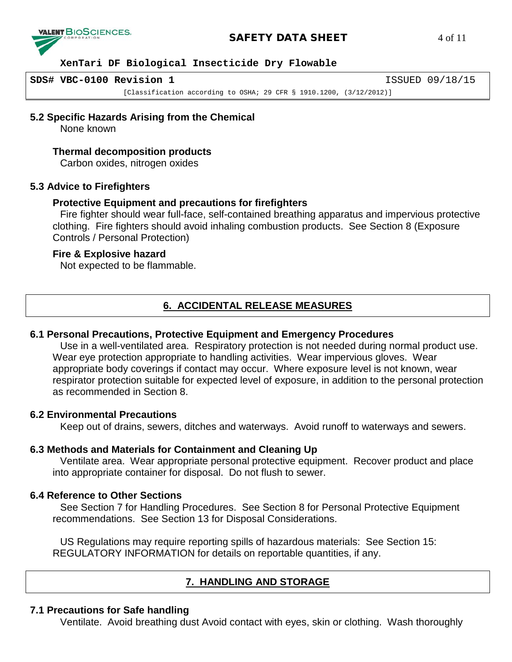

#### **SAFETY DATA SHEET** 4 of 11

#### **XenTari DF Biological Insecticide Dry Flowable**

**SDS# VBC-0100 Revision 1** ISSUED 09/18/15

[Classification according to OSHA; 29 CFR § 1910.1200, (3/12/2012)]

**5.2 Specific Hazards Arising from the Chemical**

None known

#### **Thermal decomposition products**

Carbon oxides, nitrogen oxides

#### **5.3 Advice to Firefighters**

#### **Protective Equipment and precautions for firefighters**

Fire fighter should wear full-face, self-contained breathing apparatus and impervious protective clothing. Fire fighters should avoid inhaling combustion products. See Section 8 (Exposure Controls / Personal Protection)

#### **Fire & Explosive hazard**

Not expected to be flammable.

# **6. ACCIDENTAL RELEASE MEASURES**

#### **6.1 Personal Precautions, Protective Equipment and Emergency Procedures**

Use in a well-ventilated area. Respiratory protection is not needed during normal product use. Wear eye protection appropriate to handling activities. Wear impervious gloves. Wear appropriate body coverings if contact may occur. Where exposure level is not known, wear respirator protection suitable for expected level of exposure, in addition to the personal protection as recommended in Section 8.

#### **6.2 Environmental Precautions**

Keep out of drains, sewers, ditches and waterways. Avoid runoff to waterways and sewers.

#### **6.3 Methods and Materials for Containment and Cleaning Up**

Ventilate area. Wear appropriate personal protective equipment. Recover product and place into appropriate container for disposal. Do not flush to sewer.

#### **6.4 Reference to Other Sections**

See Section 7 for Handling Procedures. See Section 8 for Personal Protective Equipment recommendations. See Section 13 for Disposal Considerations.

US Regulations may require reporting spills of hazardous materials: See Section 15: REGULATORY INFORMATION for details on reportable quantities, if any.

# **7. HANDLING AND STORAGE**

#### **7.1 Precautions for Safe handling**

Ventilate. Avoid breathing dust Avoid contact with eyes, skin or clothing. Wash thoroughly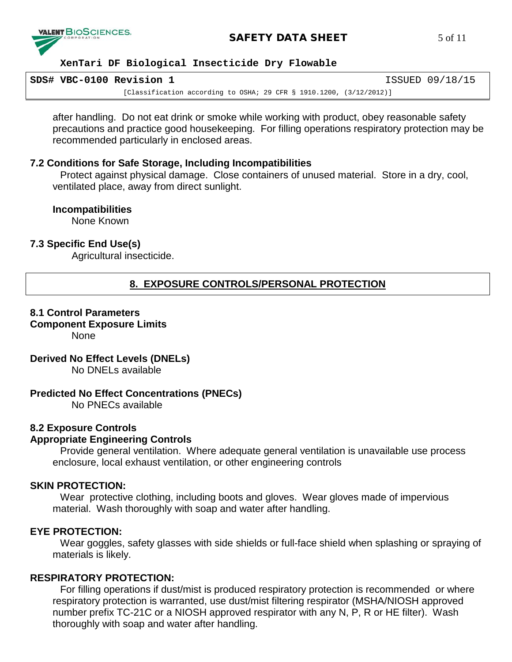

# **SAFETY DATA SHEET** 5 of 11

#### **XenTari DF Biological Insecticide Dry Flowable**

| SDS# VBC-0100 Revision 1 |                                                                        | ISSUED 09/18/15 |
|--------------------------|------------------------------------------------------------------------|-----------------|
|                          | [Classification according to OSHA; 29 CFR § 1910.1200, $(3/12/2012)$ ] |                 |

after handling. Do not eat drink or smoke while working with product, obey reasonable safety precautions and practice good housekeeping. For filling operations respiratory protection may be recommended particularly in enclosed areas.

#### **7.2 Conditions for Safe Storage, Including Incompatibilities**

Protect against physical damage. Close containers of unused material. Store in a dry, cool, ventilated place, away from direct sunlight.

#### **Incompatibilities**

None Known

#### **7.3 Specific End Use(s)**

Agricultural insecticide.

# **8. EXPOSURE CONTROLS/PERSONAL PROTECTION**

# **8.1 Control Parameters**

**Component Exposure Limits** 

None

#### **Derived No Effect Levels (DNELs)**

No DNELs available

#### **Predicted No Effect Concentrations (PNECs)**

No PNECs available

#### **8.2 Exposure Controls**

#### **Appropriate Engineering Controls**

Provide general ventilation. Where adequate general ventilation is unavailable use process enclosure, local exhaust ventilation, or other engineering controls

#### **SKIN PROTECTION:**

Wear protective clothing, including boots and gloves. Wear gloves made of impervious material. Wash thoroughly with soap and water after handling.

#### **EYE PROTECTION:**

Wear goggles, safety glasses with side shields or full-face shield when splashing or spraying of materials is likely.

#### **RESPIRATORY PROTECTION:**

For filling operations if dust/mist is produced respiratory protection is recommended or where respiratory protection is warranted, use dust/mist filtering respirator (MSHA/NIOSH approved number prefix TC-21C or a NIOSH approved respirator with any N, P, R or HE filter). Wash thoroughly with soap and water after handling.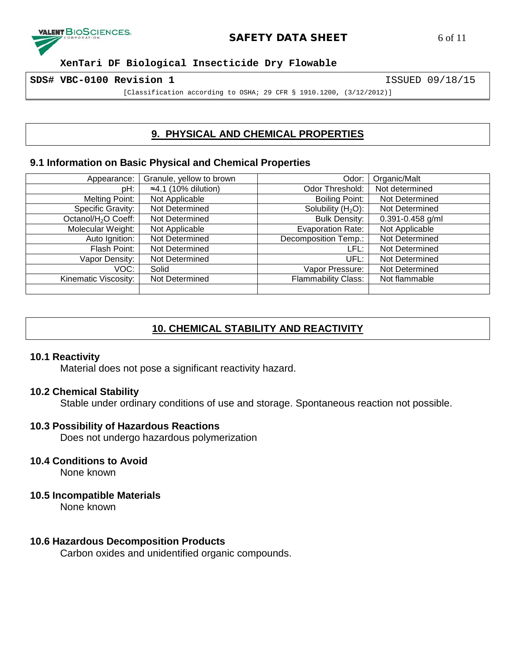

### **SAFETY DATA SHEET** 6 of 11

 **XenTari DF Biological Insecticide Dry Flowable**

**SDS# VBC-0100 Revision 1** ISSUED 09/18/15

[Classification according to OSHA; 29 CFR § 1910.1200, (3/12/2012)]

# **9. PHYSICAL AND CHEMICAL PROPERTIES**

#### **9.1 Information on Basic Physical and Chemical Properties**

| Appearance:                     | Granule, yellow to brown     | Odor:                      | Organic/Malt         |
|---------------------------------|------------------------------|----------------------------|----------------------|
| pH:                             | $\approx$ 4.1 (10% dilution) | Odor Threshold:            | Not determined       |
| <b>Melting Point:</b>           | Not Applicable               | <b>Boiling Point:</b>      | Not Determined       |
| Specific Gravity:               | Not Determined               | Solubility $(H2O)$ :       | Not Determined       |
| Octanol/H <sub>2</sub> O Coeff: | Not Determined               | <b>Bulk Density:</b>       | $0.391 - 0.458$ g/ml |
| Molecular Weight:               | Not Applicable               | <b>Evaporation Rate:</b>   | Not Applicable       |
| Auto Ignition:                  | Not Determined               | Decomposition Temp.:       | Not Determined       |
| Flash Point:                    | Not Determined               | LFL:                       | Not Determined       |
| Vapor Density:                  | Not Determined               | UFL:                       | Not Determined       |
| VOC:                            | Solid                        | Vapor Pressure:            | Not Determined       |
| Kinematic Viscosity:            | Not Determined               | <b>Flammability Class:</b> | Not flammable        |
|                                 |                              |                            |                      |

# **10. CHEMICAL STABILITY AND REACTIVITY**

#### **10.1 Reactivity**

Material does not pose a significant reactivity hazard.

#### **10.2 Chemical Stability**

Stable under ordinary conditions of use and storage. Spontaneous reaction not possible.

#### **10.3 Possibility of Hazardous Reactions**

Does not undergo hazardous polymerization

# **10.4 Conditions to Avoid**

None known

#### **10.5 Incompatible Materials**

None known

#### **10.6 Hazardous Decomposition Products**

Carbon oxides and unidentified organic compounds.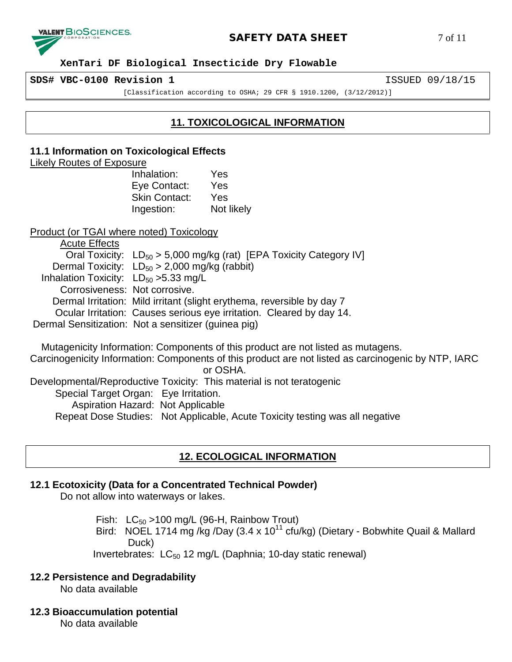

#### **SAFETY DATA SHEET** 7 of 11

#### **XenTari DF Biological Insecticide Dry Flowable**

**SDS# VBC-0100 Revision 1** ISSUED 09/18/15

[Classification according to OSHA; 29 CFR § 1910.1200, (3/12/2012)]

# **11. TOXICOLOGICAL INFORMATION**

#### **11.1 Information on Toxicological Effects**

#### Likely Routes of Exposure

Inhalation: Yes Eye Contact: Yes Skin Contact: Yes Ingestion: Not likely

Product (or TGAI where noted) Toxicology

Acute Effects Oral Toxicity:  $LD_{50} > 5,000$  mg/kg (rat) [EPA Toxicity Category IV] Dermal Toxicity:  $LD_{50} > 2,000$  mg/kg (rabbit) Inhalation Toxicity:  $LD_{50} > 5.33$  mg/L Corrosiveness: Not corrosive. Dermal Irritation: Mild irritant (slight erythema, reversible by day 7 Ocular Irritation: Causes serious eye irritation. Cleared by day 14. Dermal Sensitization: Not a sensitizer (guinea pig)

Mutagenicity Information: Components of this product are not listed as mutagens.

Carcinogenicity Information: Components of this product are not listed as carcinogenic by NTP, IARC or OSHA.

Developmental/Reproductive Toxicity: This material is not teratogenic Special Target Organ: Eye Irritation. Aspiration Hazard: Not Applicable Repeat Dose Studies: Not Applicable, Acute Toxicity testing was all negative

# **12. ECOLOGICAL INFORMATION**

#### **12.1 Ecotoxicity (Data for a Concentrated Technical Powder)**

Do not allow into waterways or lakes.

Fish:  $LC_{50}$  >100 mg/L (96-H, Rainbow Trout)

Bird: NOEL 1714 mg /kg /Day (3.4 x 10<sup>11</sup> cfu/kg) (Dietary - Bobwhite Quail & Mallard Duck)

Invertebrates:  $LC_{50}$  12 mg/L (Daphnia; 10-day static renewal)

#### **12.2 Persistence and Degradability**

No data available

#### **12.3 Bioaccumulation potential**

No data available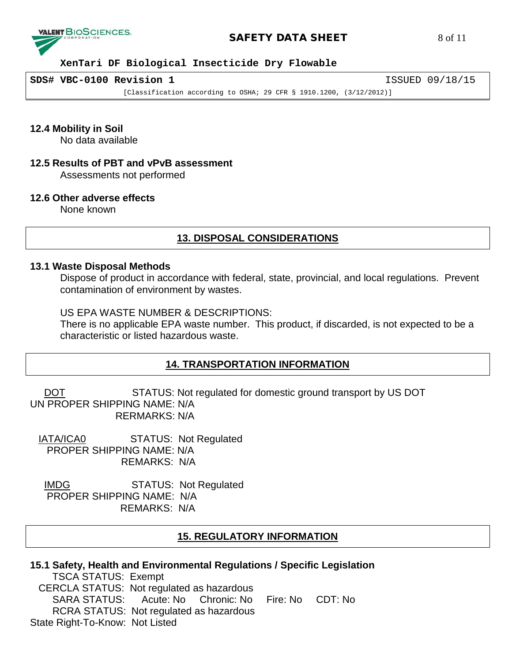

#### **SAFETY DATA SHEET** 8 of 11

#### **XenTari DF Biological Insecticide Dry Flowable**

**SDS# VBC-0100 Revision 1** ISSUED 09/18/15

[Classification according to OSHA; 29 CFR § 1910.1200, (3/12/2012)]

**12.4 Mobility in Soil**

No data available

# **12.5 Results of PBT and vPvB assessment**

Assessments not performed

#### **12.6 Other adverse effects**

None known

# **13. DISPOSAL CONSIDERATIONS**

#### **13.1 Waste Disposal Methods**

Dispose of product in accordance with federal, state, provincial, and local regulations. Prevent contamination of environment by wastes.

#### US EPA WASTE NUMBER & DESCRIPTIONS:

There is no applicable EPA waste number. This product, if discarded, is not expected to be a characteristic or listed hazardous waste.

#### **14. TRANSPORTATION INFORMATION**

DOT STATUS: Not regulated for domestic ground transport by US DOT UN PROPER SHIPPING NAME: N/A RERMARKS: N/A

 IATA/ICA0 STATUS: Not Regulated PROPER SHIPPING NAME: N/A REMARKS: N/A

 IMDG STATUS: Not Regulated PROPER SHIPPING NAME: N/A REMARKS: N/A

#### **15. REGULATORY INFORMATION**

| 15.1 Safety, Health and Environmental Regulations / Specific Legislation |  |  |  |  |  |
|--------------------------------------------------------------------------|--|--|--|--|--|
| <b>TSCA STATUS: Exempt</b>                                               |  |  |  |  |  |
| CERCLA STATUS: Not regulated as hazardous                                |  |  |  |  |  |
| SARA STATUS: Acute: No Chronic: No Fire: No CDT: No                      |  |  |  |  |  |
| RCRA STATUS: Not regulated as hazardous                                  |  |  |  |  |  |
| State Right-To-Know: Not Listed                                          |  |  |  |  |  |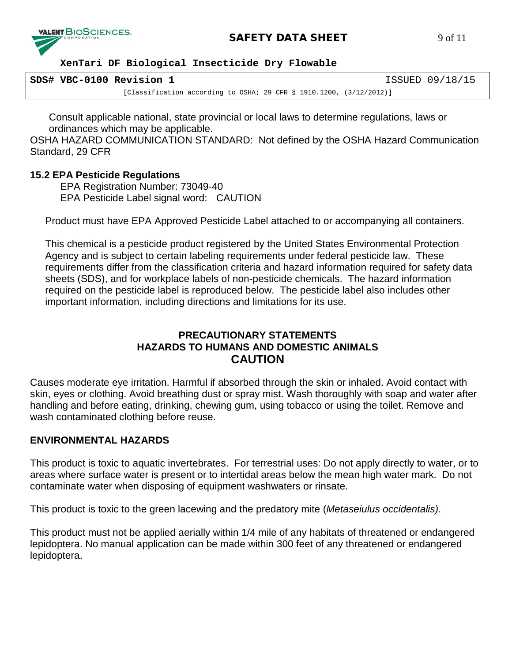

 **XenTari DF Biological Insecticide Dry Flowable**

| SDS# VBC-0100 Revision 1 |                                                                        | ISSUED 09/18/15 |
|--------------------------|------------------------------------------------------------------------|-----------------|
|                          | [Classification according to OSHA; 29 CFR § 1910.1200, $(3/12/2012)$ ] |                 |

Consult applicable national, state provincial or local laws to determine regulations, laws or ordinances which may be applicable.

OSHA HAZARD COMMUNICATION STANDARD: Not defined by the OSHA Hazard Communication Standard, 29 CFR

# **15.2 EPA Pesticide Regulations**

EPA Registration Number: 73049-40 EPA Pesticide Label signal word: CAUTION

Product must have EPA Approved Pesticide Label attached to or accompanying all containers.

This chemical is a pesticide product registered by the United States Environmental Protection Agency and is subject to certain labeling requirements under federal pesticide law. These requirements differ from the classification criteria and hazard information required for safety data sheets (SDS), and for workplace labels of non-pesticide chemicals. The hazard information required on the pesticide label is reproduced below. The pesticide label also includes other important information, including directions and limitations for its use.

# **PRECAUTIONARY STATEMENTS HAZARDS TO HUMANS AND DOMESTIC ANIMALS CAUTION**

Causes moderate eye irritation. Harmful if absorbed through the skin or inhaled. Avoid contact with skin, eyes or clothing. Avoid breathing dust or spray mist. Wash thoroughly with soap and water after handling and before eating, drinking, chewing gum, using tobacco or using the toilet. Remove and wash contaminated clothing before reuse.

# **ENVIRONMENTAL HAZARDS**

This product is toxic to aquatic invertebrates. For terrestrial uses: Do not apply directly to water, or to areas where surface water is present or to intertidal areas below the mean high water mark. Do not contaminate water when disposing of equipment washwaters or rinsate.

This product is toxic to the green lacewing and the predatory mite (*Metaseiulus occidentalis)*.

This product must not be applied aerially within 1/4 mile of any habitats of threatened or endangered lepidoptera. No manual application can be made within 300 feet of any threatened or endangered lepidoptera.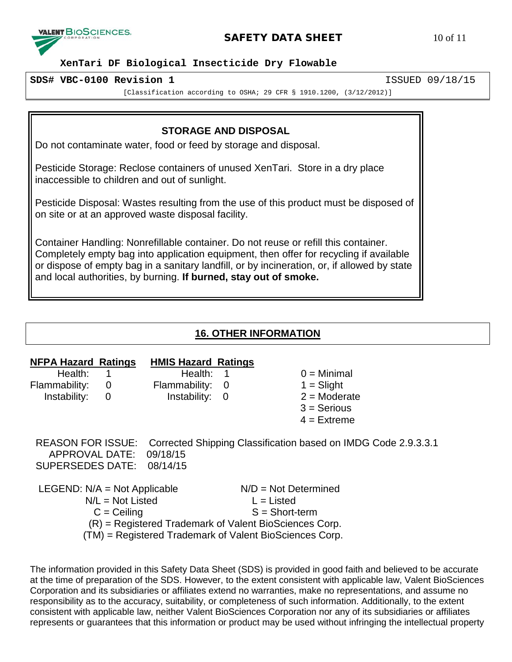

# **SAFETY DATA SHEET** 10 of 11

#### **XenTari DF Biological Insecticide Dry Flowable**

#### **SDS# VBC-0100 Revision 1** ISSUED 09/18/15

[Classification according to OSHA; 29 CFR § 1910.1200, (3/12/2012)]

#### **STORAGE AND DISPOSAL**

Do not contaminate water, food or feed by storage and disposal.

Pesticide Storage: Reclose containers of unused XenTari. Store in a dry place inaccessible to children and out of sunlight.

Pesticide Disposal: Wastes resulting from the use of this product must be disposed of on site or at an approved waste disposal facility.

Container Handling: Nonrefillable container. Do not reuse or refill this container. Completely empty bag into application equipment, then offer for recycling if available or dispose of empty bag in a sanitary landfill, or by incineration, or, if allowed by state and local authorities, by burning. **If burned, stay out of smoke.**

# **16. OTHER INFORMATION**

| <b>NFPA Hazard Ratings</b><br>Health:<br>Flammability:<br>Instability:  | $\overline{0}$<br>0                 | <b>HMIS Hazard Ratings</b><br>Health:<br>Flammability:<br>Instability:                                                                                                                                                                                                                                                                                                               | - 0<br>- 0 |                                                            | $0 =$ Minimal<br>$1 =$ Slight<br>$2 =$ Moderate<br>$3 =$ Serious<br>$4 =$ Extreme |
|-------------------------------------------------------------------------|-------------------------------------|--------------------------------------------------------------------------------------------------------------------------------------------------------------------------------------------------------------------------------------------------------------------------------------------------------------------------------------------------------------------------------------|------------|------------------------------------------------------------|-----------------------------------------------------------------------------------|
| <b>REASON FOR ISSUE:</b><br>APPROVAL DATE:<br>SUPERSEDES DATE: 08/14/15 |                                     | 09/18/15                                                                                                                                                                                                                                                                                                                                                                             |            |                                                            | Corrected Shipping Classification based on IMDG Code 2.9.3.3.1                    |
| LEGEND: $N/A = Not$ Applicable                                          | $N/L = Not$ Listed<br>$C = Ceiling$ | $\overline{a}$ $\overline{b}$ $\overline{c}$ $\overline{c}$ $\overline{c}$ $\overline{c}$ $\overline{c}$ $\overline{c}$ $\overline{c}$ $\overline{c}$ $\overline{c}$ $\overline{c}$ $\overline{c}$ $\overline{c}$ $\overline{c}$ $\overline{c}$ $\overline{c}$ $\overline{c}$ $\overline{c}$ $\overline{c}$ $\overline{c}$ $\overline{c}$ $\overline{c}$ $\overline{c}$ $\overline{$ |            | $N/D = Not Determined$<br>$L =$ Listed<br>$S = Short-term$ |                                                                                   |

(R) = Registered Trademark of Valent BioSciences Corp.

(TM) = Registered Trademark of Valent BioSciences Corp.

The information provided in this Safety Data Sheet (SDS) is provided in good faith and believed to be accurate at the time of preparation of the SDS. However, to the extent consistent with applicable law, Valent BioSciences Corporation and its subsidiaries or affiliates extend no warranties, make no representations, and assume no responsibility as to the accuracy, suitability, or completeness of such information. Additionally, to the extent consistent with applicable law, neither Valent BioSciences Corporation nor any of its subsidiaries or affiliates represents or guarantees that this information or product may be used without infringing the intellectual property